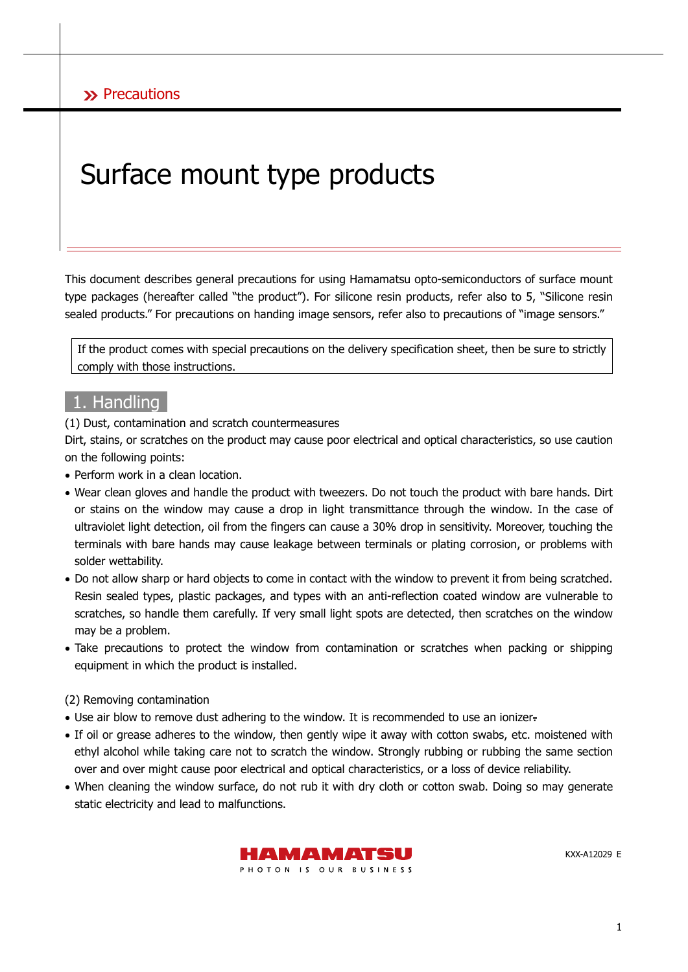# Surface mount type products

This document describes general precautions for using Hamamatsu opto-semiconductors of surface mount type packages (hereafter called "the product"). For silicone resin products, refer also to 5, "Silicone resin sealed products." For precautions on handing image sensors, refer also to precautions of "image sensors."

If the product comes with special precautions on the delivery specification sheet, then be sure to strictly comply with those instructions.

## 1. Handling

(1) Dust, contamination and scratch countermeasures

Dirt, stains, or scratches on the product may cause poor electrical and optical characteristics, so use caution on the following points:

- Perform work in a clean location.
- Wear clean gloves and handle the product with tweezers. Do not touch the product with bare hands. Dirt or stains on the window may cause a drop in light transmittance through the window. In the case of ultraviolet light detection, oil from the fingers can cause a 30% drop in sensitivity. Moreover, touching the terminals with bare hands may cause leakage between terminals or plating corrosion, or problems with solder wettability.
- Do not allow sharp or hard objects to come in contact with the window to prevent it from being scratched. Resin sealed types, plastic packages, and types with an anti-reflection coated window are vulnerable to scratches, so handle them carefully. If very small light spots are detected, then scratches on the window may be a problem.
- Take precautions to protect the window from contamination or scratches when packing or shipping equipment in which the product is installed.

#### (2) Removing contamination

- Use air blow to remove dust adhering to the window. It is recommended to use an ionizer-
- If oil or grease adheres to the window, then gently wipe it away with cotton swabs, etc. moistened with ethyl alcohol while taking care not to scratch the window. Strongly rubbing or rubbing the same section over and over might cause poor electrical and optical characteristics, or a loss of device reliability.
- When cleaning the window surface, do not rub it with dry cloth or cotton swab. Doing so may generate static electricity and lead to malfunctions.



KXX-A12029 E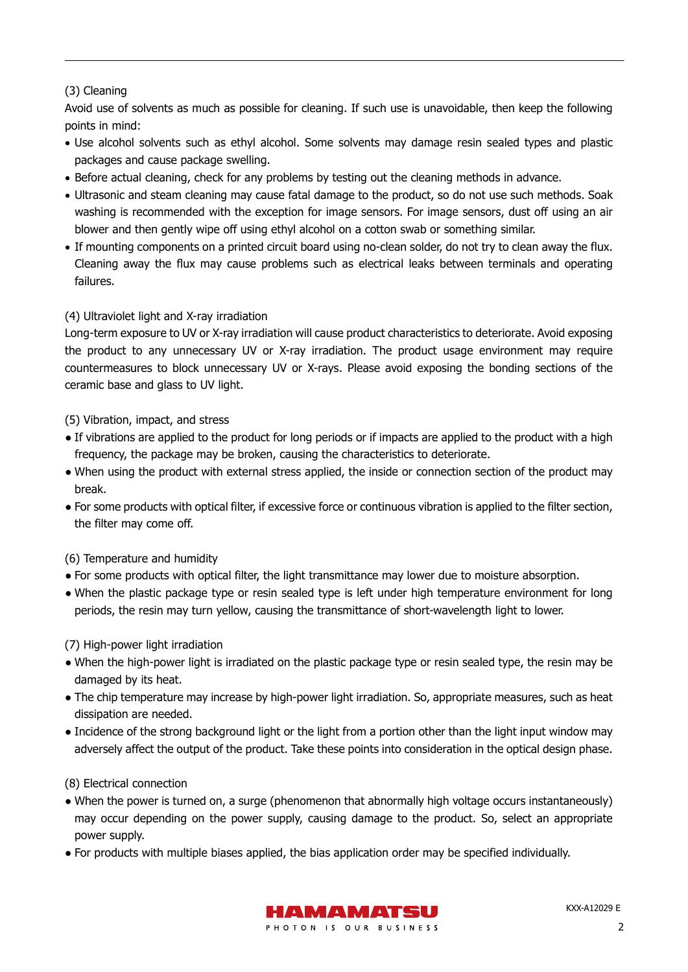#### (3) Cleaning

Avoid use of solvents as much as possible for cleaning. If such use is unavoidable, then keep the following points in mind:

- Use alcohol solvents such as ethyl alcohol. Some solvents may damage resin sealed types and plastic packages and cause package swelling.
- Before actual cleaning, check for any problems by testing out the cleaning methods in advance.
- Ultrasonic and steam cleaning may cause fatal damage to the product, so do not use such methods. Soak washing is recommended with the exception for image sensors. For image sensors, dust off using an air blower and then gently wipe off using ethyl alcohol on a cotton swab or something similar.
- If mounting components on a printed circuit board using no-clean solder, do not try to clean away the flux. Cleaning away the flux may cause problems such as electrical leaks between terminals and operating failures.

#### (4) Ultraviolet light and X-ray irradiation

Long-term exposure to UV or X-ray irradiation will cause product characteristics to deteriorate. Avoid exposing the product to any unnecessary UV or X-ray irradiation. The product usage environment may require countermeasures to block unnecessary UV or X-rays. Please avoid exposing the bonding sections of the ceramic base and glass to UV light.

#### (5) Vibration, impact, and stress

- If vibrations are applied to the product for long periods or if impacts are applied to the product with a high frequency, the package may be broken, causing the characteristics to deteriorate.
- When using the product with external stress applied, the inside or connection section of the product may break.
- For some products with optical filter, if excessive force or continuous vibration is applied to the filter section, the filter may come off.
- (6) Temperature and humidity
- For some products with optical filter, the light transmittance may lower due to moisture absorption.
- When the plastic package type or resin sealed type is left under high temperature environment for long periods, the resin may turn yellow, causing the transmittance of short-wavelength light to lower.

#### (7) High-power light irradiation

- When the high-power light is irradiated on the plastic package type or resin sealed type, the resin may be damaged by its heat.
- The chip temperature may increase by high-power light irradiation. So, appropriate measures, such as heat dissipation are needed.
- Incidence of the strong background light or the light from a portion other than the light input window may adversely affect the output of the product. Take these points into consideration in the optical design phase.

#### (8) Electrical connection

- When the power is turned on, a surge (phenomenon that abnormally high voltage occurs instantaneously) may occur depending on the power supply, causing damage to the product. So, select an appropriate power supply.
- For products with multiple biases applied, the bias application order may be specified individually.

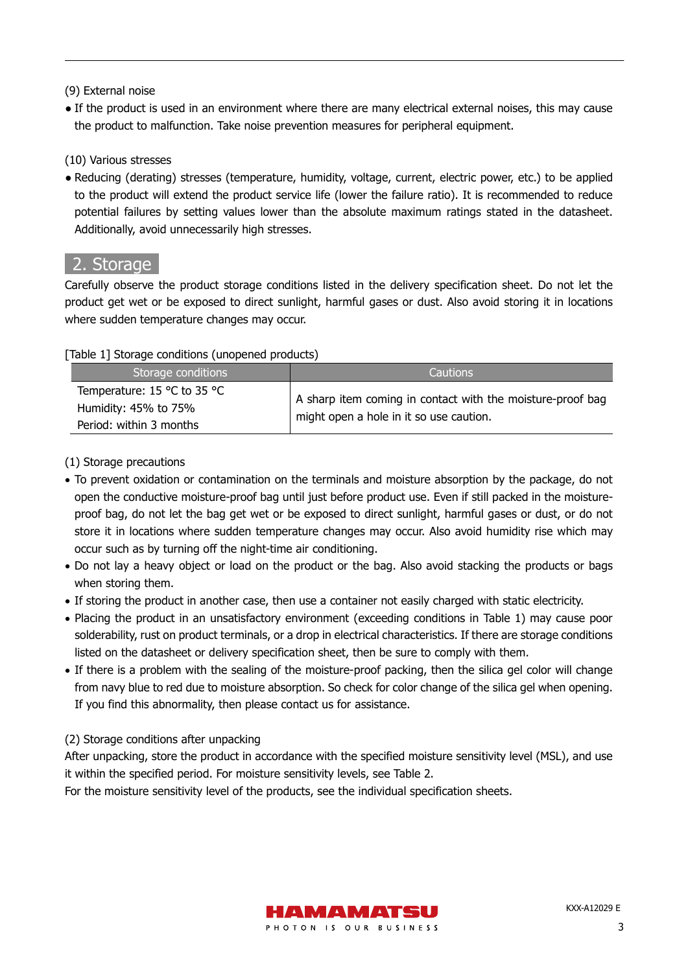#### (9) External noise

• If the product is used in an environment where there are many electrical external noises, this may cause the product to malfunction. Take noise prevention measures for peripheral equipment.

#### (10) Various stresses

● Reducing (derating) stresses (temperature, humidity, voltage, current, electric power, etc.) to be applied to the product will extend the product service life (lower the failure ratio). It is recommended to reduce potential failures by setting values lower than the absolute maximum ratings stated in the datasheet. Additionally, avoid unnecessarily high stresses.

## 2. Storage

Carefully observe the product storage conditions listed in the delivery specification sheet. Do not let the product get wet or be exposed to direct sunlight, harmful gases or dust. Also avoid storing it in locations where sudden temperature changes may occur.

#### [Table 1] Storage conditions (unopened products)

| Storage conditions                                                             | <b>Cautions</b>                                                                                       |
|--------------------------------------------------------------------------------|-------------------------------------------------------------------------------------------------------|
| Temperature: 15 °C to 35 °C<br>Humidity: 45% to 75%<br>Period: within 3 months | A sharp item coming in contact with the moisture-proof bag<br>might open a hole in it so use caution. |

#### (1) Storage precautions

- To prevent oxidation or contamination on the terminals and moisture absorption by the package, do not open the conductive moisture-proof bag until just before product use. Even if still packed in the moistureproof bag, do not let the bag get wet or be exposed to direct sunlight, harmful gases or dust, or do not store it in locations where sudden temperature changes may occur. Also avoid humidity rise which may occur such as by turning off the night-time air conditioning.
- Do not lay a heavy object or load on the product or the bag. Also avoid stacking the products or bags when storing them.
- If storing the product in another case, then use a container not easily charged with static electricity.
- Placing the product in an unsatisfactory environment (exceeding conditions in Table 1) may cause poor solderability, rust on product terminals, or a drop in electrical characteristics. If there are storage conditions listed on the datasheet or delivery specification sheet, then be sure to comply with them.
- If there is a problem with the sealing of the moisture-proof packing, then the silica gel color will change from navy blue to red due to moisture absorption. So check for color change of the silica gel when opening. If you find this abnormality, then please contact us for assistance.

#### (2) Storage conditions after unpacking

After unpacking, store the product in accordance with the specified moisture sensitivity level (MSL), and use it within the specified period. For moisture sensitivity levels, see Table 2.

For the moisture sensitivity level of the products, see the individual specification sheets.

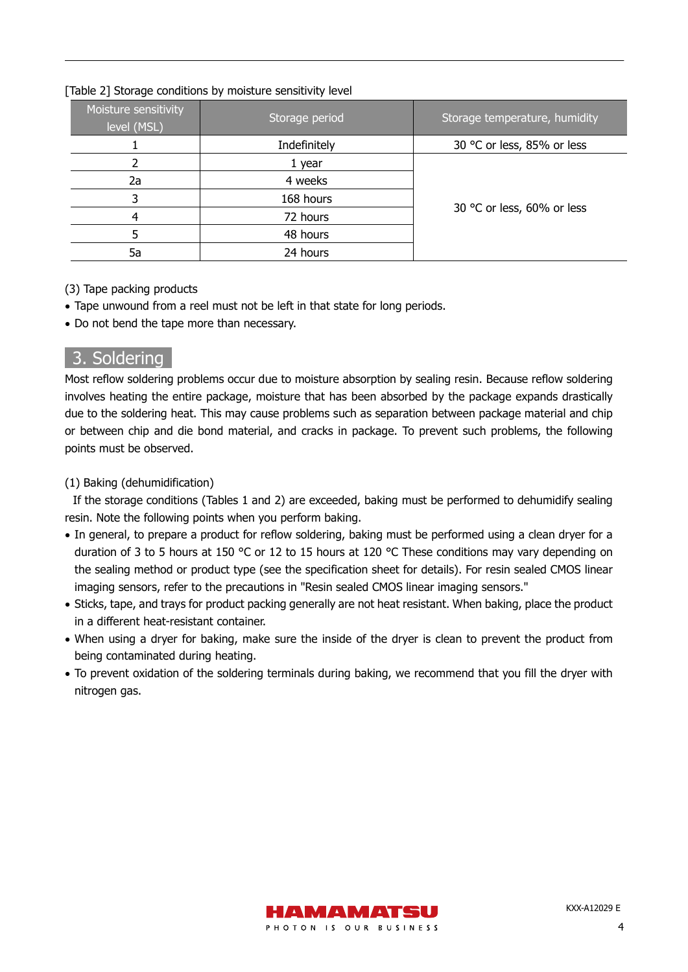|  | [Table 2] Storage conditions by moisture sensitivity level |  |  |
|--|------------------------------------------------------------|--|--|
|  |                                                            |  |  |

| Moisture sensitivity<br>level (MSL) | Storage period | Storage temperature, humidity |  |  |
|-------------------------------------|----------------|-------------------------------|--|--|
|                                     | Indefinitely   | 30 °C or less, 85% or less    |  |  |
|                                     | 1 year         |                               |  |  |
| 2a                                  | 4 weeks        |                               |  |  |
|                                     | 168 hours      |                               |  |  |
|                                     | 72 hours       | 30 °C or less, 60% or less    |  |  |
|                                     | 48 hours       |                               |  |  |
| 5a                                  | 24 hours       |                               |  |  |

#### (3) Tape packing products

- Tape unwound from a reel must not be left in that state for long periods.
- Do not bend the tape more than necessary.

# 3. Soldering

Most reflow soldering problems occur due to moisture absorption by sealing resin. Because reflow soldering involves heating the entire package, moisture that has been absorbed by the package expands drastically due to the soldering heat. This may cause problems such as separation between package material and chip or between chip and die bond material, and cracks in package. To prevent such problems, the following points must be observed.

#### (1) Baking (dehumidification)

If the storage conditions (Tables 1 and 2) are exceeded, baking must be performed to dehumidify sealing resin. Note the following points when you perform baking.

- In general, to prepare a product for reflow soldering, baking must be performed using a clean dryer for a duration of 3 to 5 hours at 150 °C or 12 to 15 hours at 120 °C These conditions may vary depending on the sealing method or product type (see the specification sheet for details). For resin sealed CMOS linear imaging sensors, refer to the precautions in "Resin sealed CMOS linear imaging sensors."
- Sticks, tape, and trays for product packing generally are not heat resistant. When baking, place the product in a different heat-resistant container.
- When using a dryer for baking, make sure the inside of the dryer is clean to prevent the product from being contaminated during heating.
- To prevent oxidation of the soldering terminals during baking, we recommend that you fill the dryer with nitrogen gas.

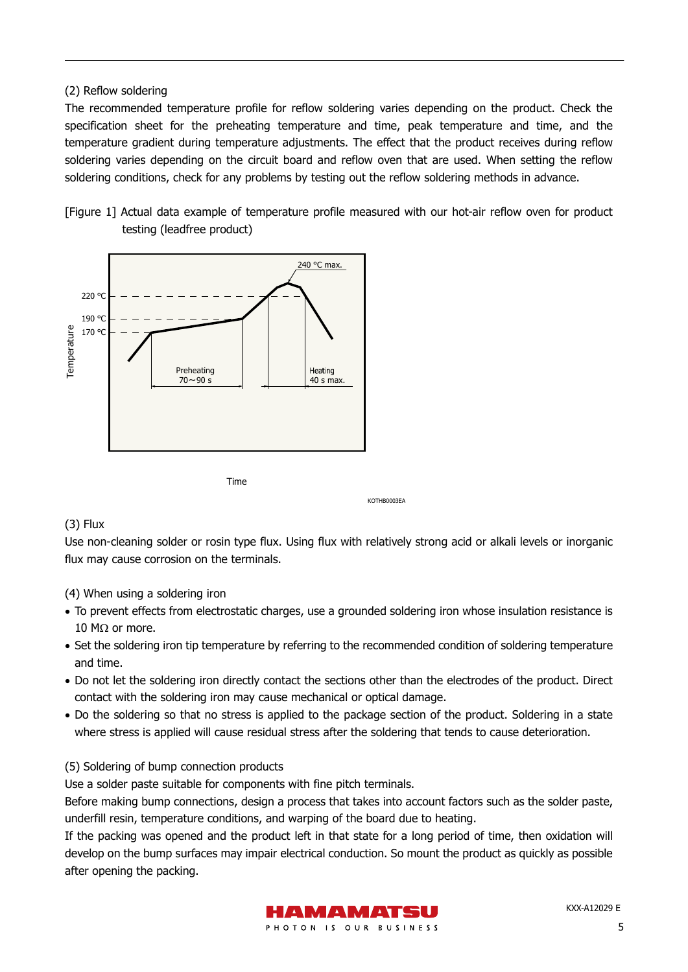#### (2) Reflow soldering

The recommended temperature profile for reflow soldering varies depending on the product. Check the specification sheet for the preheating temperature and time, peak temperature and time, and the temperature gradient during temperature adjustments. The effect that the product receives during reflow soldering varies depending on the circuit board and reflow oven that are used. When setting the reflow soldering conditions, check for any problems by testing out the reflow soldering methods in advance.





#### (3) Flux

Use non-cleaning solder or rosin type flux. Using flux with relatively strong acid or alkali levels or inorganic flux may cause corrosion on the terminals.

KOTHB0003EA

(4) When using a soldering iron

- To prevent effects from electrostatic charges, use a grounded soldering iron whose insulation resistance is 10 MΩ or more.
- Set the soldering iron tip temperature by referring to the recommended condition of soldering temperature and time.
- Do not let the soldering iron directly contact the sections other than the electrodes of the product. Direct contact with the soldering iron may cause mechanical or optical damage.
- Do the soldering so that no stress is applied to the package section of the product. Soldering in a state where stress is applied will cause residual stress after the soldering that tends to cause deterioration.

#### (5) Soldering of bump connection products

Use a solder paste suitable for components with fine pitch terminals.

Before making bump connections, design a process that takes into account factors such as the solder paste, underfill resin, temperature conditions, and warping of the board due to heating.

If the packing was opened and the product left in that state for a long period of time, then oxidation will develop on the bump surfaces may impair electrical conduction. So mount the product as quickly as possible after opening the packing.

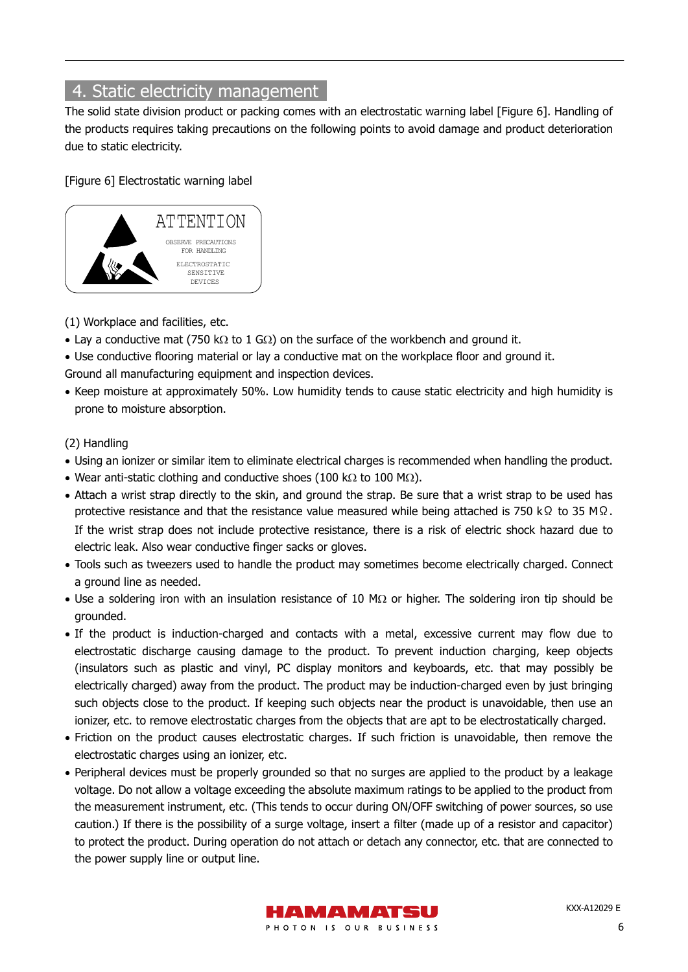# 4. Static electricity management

The solid state division product or packing comes with an electrostatic warning label [Figure 6]. Handling of the products requires taking precautions on the following points to avoid damage and product deterioration due to static electricity.

[Figure 6] Electrostatic warning label



#### (1) Workplace and facilities, etc.

- Lay a conductive mat (750 kΩ to 1 GΩ) on the surface of the workbench and ground it.
- Use conductive flooring material or lay a conductive mat on the workplace floor and ground it. Ground all manufacturing equipment and inspection devices.
- Keep moisture at approximately 50%. Low humidity tends to cause static electricity and high humidity is prone to moisture absorption.

#### (2) Handling

- Using an ionizer or similar item to eliminate electrical charges is recommended when handling the product.
- Wear anti-static clothing and conductive shoes (100 kΩ to 100 MΩ).
- Attach a wrist strap directly to the skin, and ground the strap. Be sure that a wrist strap to be used has protective resistance and that the resistance value measured while being attached is 750 kΩ to 35 MΩ. If the wrist strap does not include protective resistance, there is a risk of electric shock hazard due to electric leak. Also wear conductive finger sacks or gloves.
- Tools such as tweezers used to handle the product may sometimes become electrically charged. Connect a ground line as needed.
- Use a soldering iron with an insulation resistance of 10 MΩ or higher. The soldering iron tip should be grounded.
- If the product is induction-charged and contacts with a metal, excessive current may flow due to electrostatic discharge causing damage to the product. To prevent induction charging, keep objects (insulators such as plastic and vinyl, PC display monitors and keyboards, etc. that may possibly be electrically charged) away from the product. The product may be induction-charged even by just bringing such objects close to the product. If keeping such objects near the product is unavoidable, then use an ionizer, etc. to remove electrostatic charges from the objects that are apt to be electrostatically charged.
- Friction on the product causes electrostatic charges. If such friction is unavoidable, then remove the electrostatic charges using an ionizer, etc.
- Peripheral devices must be properly grounded so that no surges are applied to the product by a leakage voltage. Do not allow a voltage exceeding the absolute maximum ratings to be applied to the product from the measurement instrument, etc. (This tends to occur during ON/OFF switching of power sources, so use caution.) If there is the possibility of a surge voltage, insert a filter (made up of a resistor and capacitor) to protect the product. During operation do not attach or detach any connector, etc. that are connected to the power supply line or output line.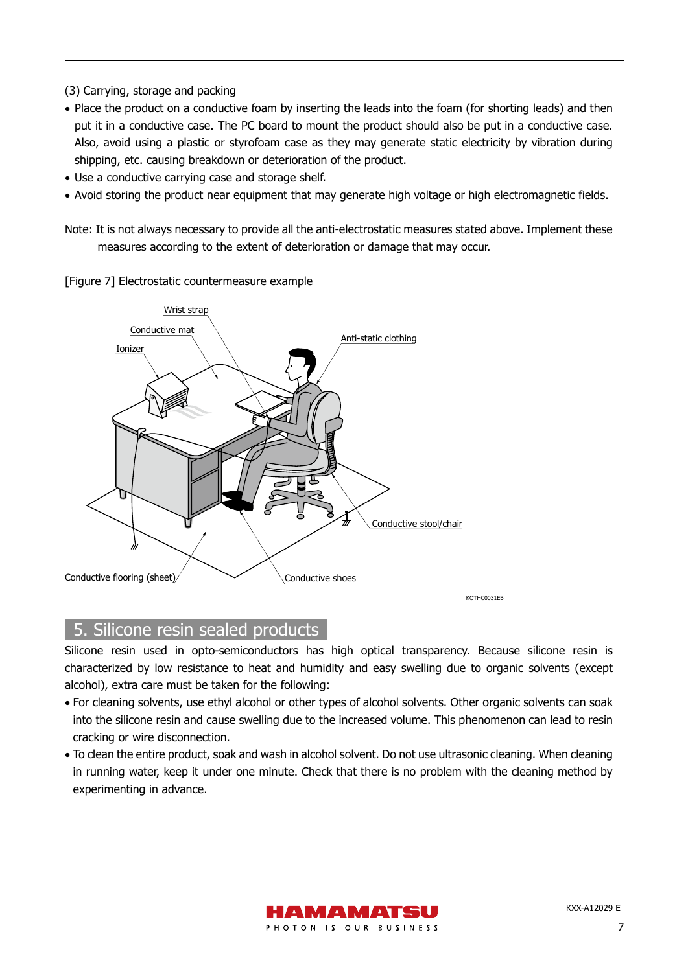(3) Carrying, storage and packing

- Place the product on a conductive foam by inserting the leads into the foam (for shorting leads) and then put it in a conductive case. The PC board to mount the product should also be put in a conductive case. Also, avoid using a plastic or styrofoam case as they may generate static electricity by vibration during shipping, etc. causing breakdown or deterioration of the product.
- Use a conductive carrying case and storage shelf.
- Avoid storing the product near equipment that may generate high voltage or high electromagnetic fields.

Note: It is not always necessary to provide all the anti-electrostatic measures stated above. Implement these measures according to the extent of deterioration or damage that may occur.

[Figure 7] Electrostatic countermeasure example



## 5. Silicone resin sealed products

Silicone resin used in opto-semiconductors has high optical transparency. Because silicone resin is characterized by low resistance to heat and humidity and easy swelling due to organic solvents (except alcohol), extra care must be taken for the following:

- For cleaning solvents, use ethyl alcohol or other types of alcohol solvents. Other organic solvents can soak into the silicone resin and cause swelling due to the increased volume. This phenomenon can lead to resin cracking or wire disconnection.
- To clean the entire product, soak and wash in alcohol solvent. Do not use ultrasonic cleaning. When cleaning in running water, keep it under one minute. Check that there is no problem with the cleaning method by experimenting in advance.

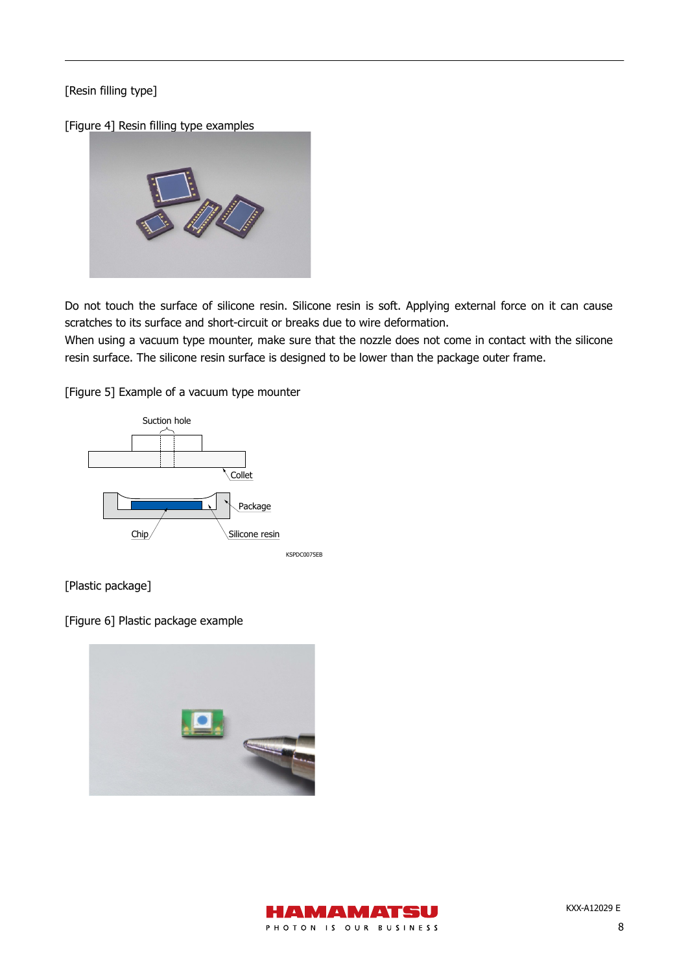#### [Resin filling type]

[Figure 4] Resin filling type examples



Do not touch the surface of silicone resin. Silicone resin is soft. Applying external force on it can cause scratches to its surface and short-circuit or breaks due to wire deformation.

When using a vacuum type mounter, make sure that the nozzle does not come in contact with the silicone resin surface. The silicone resin surface is designed to be lower than the package outer frame.

[Figure 5] Example of a vacuum type mounter



[Plastic package]

[Figure 6] Plastic package example